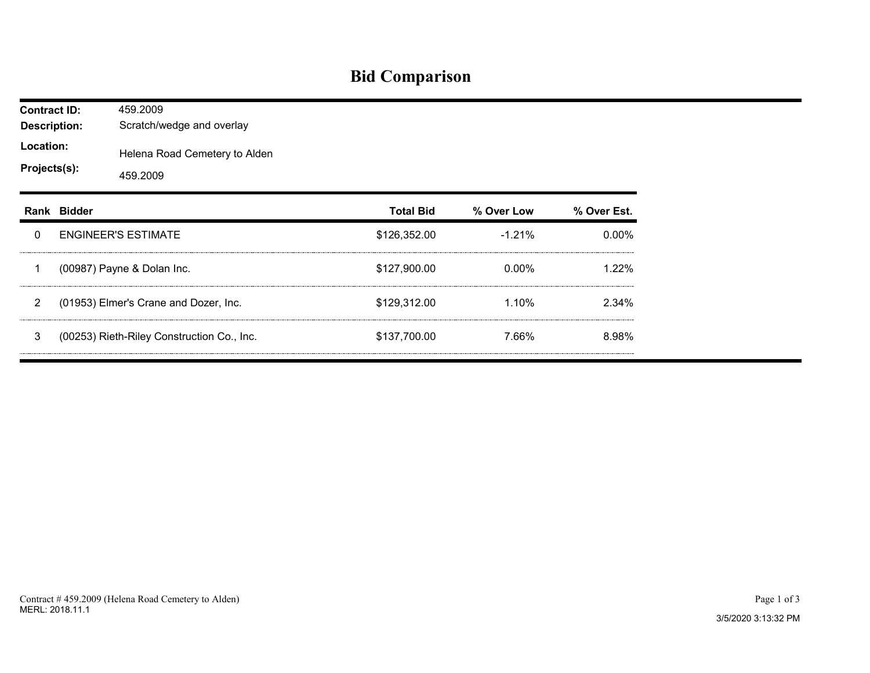## **Bid Comparison**

| <b>Contract ID:</b><br><b>Description:</b> |             | 459.2009<br>Scratch/wedge and overlay      |                  |            |             |  |  |  |  |
|--------------------------------------------|-------------|--------------------------------------------|------------------|------------|-------------|--|--|--|--|
| Location:<br>Projects(s):                  |             | Helena Road Cemetery to Alden<br>459.2009  |                  |            |             |  |  |  |  |
|                                            | Rank Bidder |                                            | <b>Total Bid</b> | % Over Low | % Over Est. |  |  |  |  |
| 0                                          |             | <b>ENGINEER'S ESTIMATE</b>                 | \$126,352.00     | $-1.21%$   | 0.00%       |  |  |  |  |
| 1                                          |             | (00987) Payne & Dolan Inc.                 | \$127,900.00     | $0.00\%$   | 1.22%       |  |  |  |  |
| 2                                          |             | (01953) Elmer's Crane and Dozer, Inc.      | \$129,312.00     | 1.10%      | 2.34%       |  |  |  |  |
| 3                                          |             | (00253) Rieth-Riley Construction Co., Inc. | \$137,700.00     | 7.66%      | 8.98%       |  |  |  |  |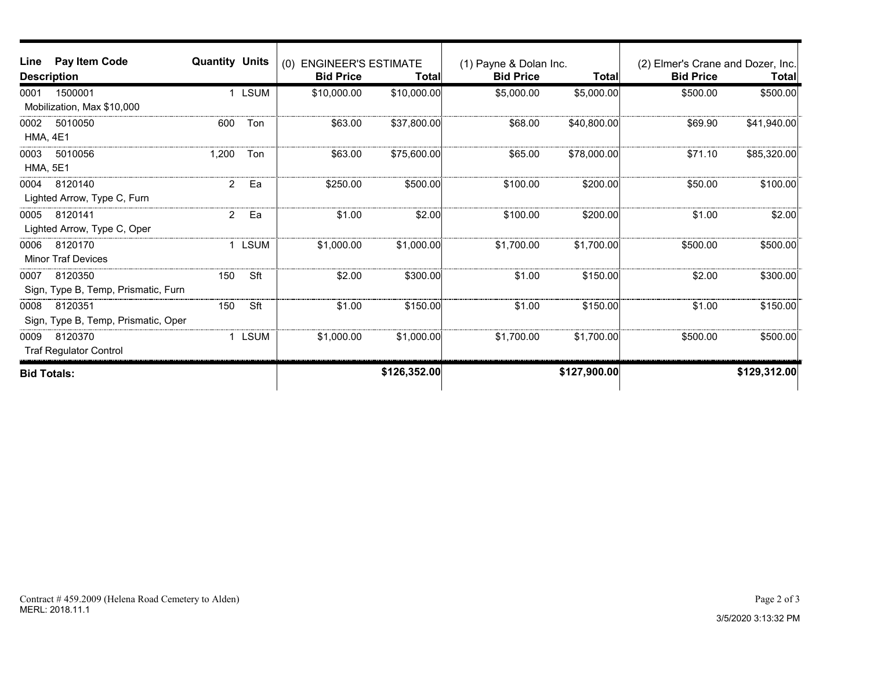| Line<br><b>Description</b> | Pay Item Code                       | <b>Quantity Units</b> |             | <b>ENGINEER'S ESTIMATE</b><br>(0)<br><b>Bid Price</b> | Total        | (1) Payne & Dolan Inc.<br><b>Bid Price</b> | <b>Total</b> | (2) Elmer's Crane and Dozer, Inc.<br><b>Bid Price</b> | <b>Total</b> |
|----------------------------|-------------------------------------|-----------------------|-------------|-------------------------------------------------------|--------------|--------------------------------------------|--------------|-------------------------------------------------------|--------------|
| 0001                       | 1500001                             |                       | <b>LSUM</b> | \$10,000.00                                           | \$10,000.00  | \$5,000.00                                 | \$5,000.00]  | \$500.00                                              | \$500.00     |
|                            | Mobilization, Max \$10,000          |                       |             |                                                       |              |                                            |              |                                                       |              |
| 0002                       | 5010050                             | 600                   | Ton         | \$63.00                                               | \$37,800.00  | \$68.00                                    | \$40,800.00  | \$69.90                                               | \$41,940.00  |
| <b>HMA, 4E1</b>            |                                     |                       |             |                                                       |              |                                            |              |                                                       |              |
| 0003                       | 5010056                             | 1,200                 | Ton         | \$63.00                                               | \$75,600.00  | \$65.00                                    | \$78,000.00  | \$71.10                                               | \$85,320.00  |
| <b>HMA, 5E1</b>            |                                     |                       |             |                                                       |              |                                            |              |                                                       |              |
| 0004                       | 8120140                             | $\overline{2}$        | Ea          | \$250.00                                              | \$500.00     | \$100.00                                   | \$200.00     | \$50.00                                               | \$100.00]    |
|                            | Lighted Arrow, Type C, Furn         |                       |             |                                                       |              |                                            |              |                                                       |              |
| 0005                       | 8120141                             | $\overline{2}$        | Ea          | \$1.00                                                | \$2.00       | \$100.00                                   | \$200.00     | \$1.00                                                | \$2.00       |
|                            | Lighted Arrow, Type C, Oper         |                       |             |                                                       |              |                                            |              |                                                       |              |
| 0006                       | 8120170                             |                       | <b>LSUM</b> | \$1,000.00                                            | \$1,000.00]  | \$1,700.00                                 | \$1,700.00   | \$500.00                                              | \$500.00     |
|                            | <b>Minor Traf Devices</b>           |                       |             |                                                       |              |                                            |              |                                                       |              |
| 0007                       | 8120350                             | 150                   | Sft         | \$2.00                                                | \$300.00     | \$1.00                                     | \$150.00     | \$2.00                                                | \$300.00     |
|                            | Sign, Type B, Temp, Prismatic, Furn |                       |             |                                                       |              |                                            |              |                                                       |              |
| 0008                       | 8120351                             | 150                   | Sft         | \$1.00                                                | \$150.00     | \$1.00                                     | \$150.00     | \$1.00                                                | \$150.00     |
|                            | Sign, Type B, Temp, Prismatic, Oper |                       |             |                                                       |              |                                            |              |                                                       |              |
| 0009                       | 8120370                             |                       | <b>LSUM</b> | \$1,000.00                                            | \$1,000.00]  | \$1,700.00                                 | \$1,700.00   | \$500.00                                              | \$500.00     |
|                            | <b>Traf Regulator Control</b>       |                       |             |                                                       |              |                                            |              |                                                       |              |
| <b>Bid Totals:</b>         |                                     |                       |             |                                                       | \$126,352.00 |                                            | \$127,900.00 |                                                       | \$129,312.00 |